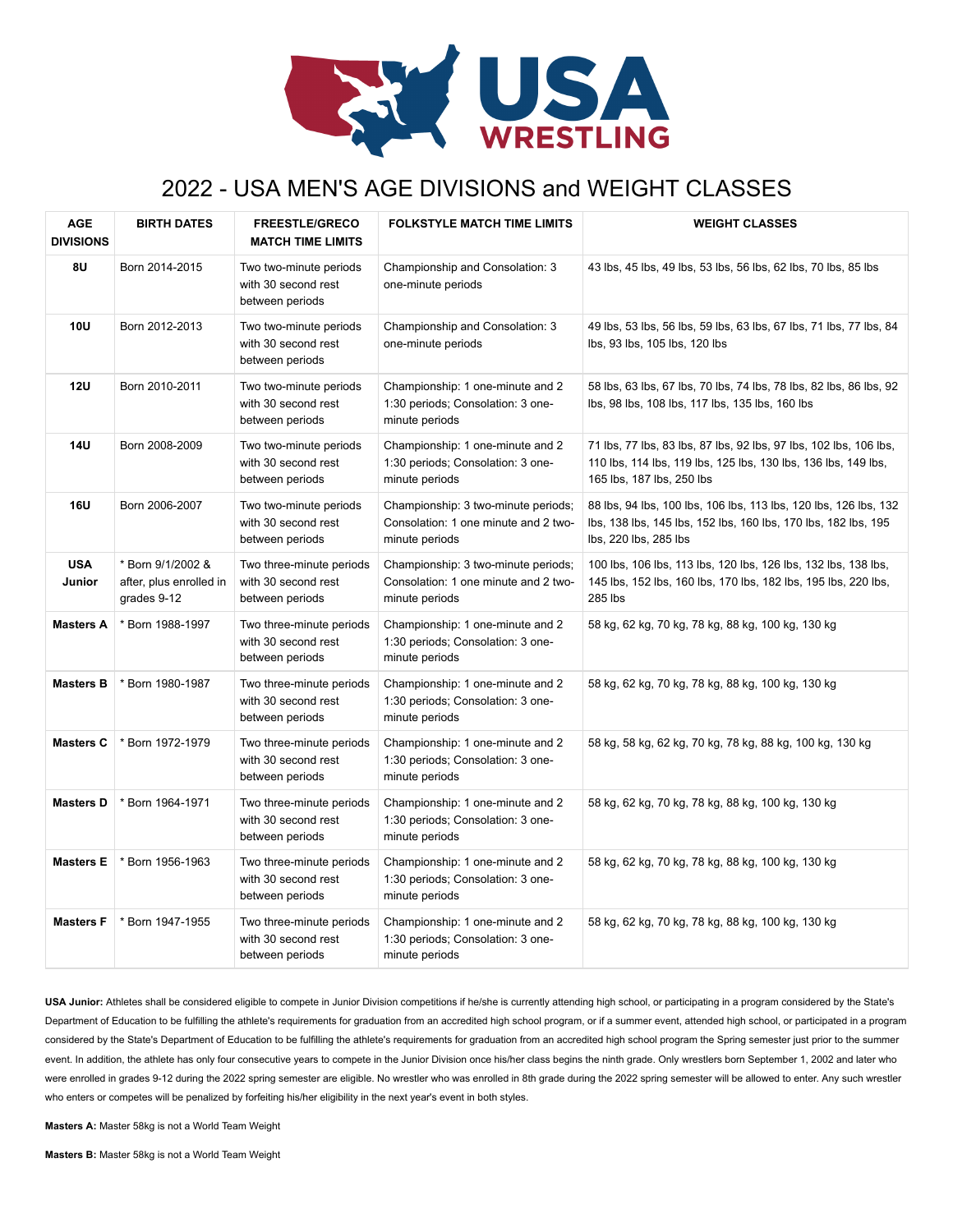

## 2022 - USA MEN'S AGE DIVISIONS and WEIGHT CLASSES

| <b>AGE</b><br><b>DIVISIONS</b> | <b>BIRTH DATES</b>                                          | <b>FREESTLE/GRECO</b><br><b>MATCH TIME LIMITS</b>                  | <b>FOLKSTYLE MATCH TIME LIMITS</b>                                                            | <b>WEIGHT CLASSES</b>                                                                                                                                            |
|--------------------------------|-------------------------------------------------------------|--------------------------------------------------------------------|-----------------------------------------------------------------------------------------------|------------------------------------------------------------------------------------------------------------------------------------------------------------------|
| 8U                             | Born 2014-2015                                              | Two two-minute periods<br>with 30 second rest<br>between periods   | Championship and Consolation: 3<br>one-minute periods                                         | 43 lbs, 45 lbs, 49 lbs, 53 lbs, 56 lbs, 62 lbs, 70 lbs, 85 lbs                                                                                                   |
| <b>10U</b>                     | Born 2012-2013                                              | Two two-minute periods<br>with 30 second rest<br>between periods   | Championship and Consolation: 3<br>one-minute periods                                         | 49 lbs, 53 lbs, 56 lbs, 59 lbs, 63 lbs, 67 lbs, 71 lbs, 77 lbs, 84<br>lbs, 93 lbs, 105 lbs, 120 lbs                                                              |
| 12U                            | Born 2010-2011                                              | Two two-minute periods<br>with 30 second rest<br>between periods   | Championship: 1 one-minute and 2<br>1:30 periods; Consolation: 3 one-<br>minute periods       | 58 lbs, 63 lbs, 67 lbs, 70 lbs, 74 lbs, 78 lbs, 82 lbs, 86 lbs, 92<br>lbs, 98 lbs, 108 lbs, 117 lbs, 135 lbs, 160 lbs                                            |
| <b>14U</b>                     | Born 2008-2009                                              | Two two-minute periods<br>with 30 second rest<br>between periods   | Championship: 1 one-minute and 2<br>1:30 periods; Consolation: 3 one-<br>minute periods       | 71 lbs, 77 lbs, 83 lbs, 87 lbs, 92 lbs, 97 lbs, 102 lbs, 106 lbs,<br>110 lbs, 114 lbs, 119 lbs, 125 lbs, 130 lbs, 136 lbs, 149 lbs,<br>165 lbs, 187 lbs, 250 lbs |
| <b>16U</b>                     | Born 2006-2007                                              | Two two-minute periods<br>with 30 second rest<br>between periods   | Championship: 3 two-minute periods;<br>Consolation: 1 one minute and 2 two-<br>minute periods | 88 lbs, 94 lbs, 100 lbs, 106 lbs, 113 lbs, 120 lbs, 126 lbs, 132<br>lbs, 138 lbs, 145 lbs, 152 lbs, 160 lbs, 170 lbs, 182 lbs, 195<br>lbs, 220 lbs, 285 lbs      |
| <b>USA</b><br>Junior           | * Born 9/1/2002 &<br>after, plus enrolled in<br>grades 9-12 | Two three-minute periods<br>with 30 second rest<br>between periods | Championship: 3 two-minute periods;<br>Consolation: 1 one minute and 2 two-<br>minute periods | 100 lbs, 106 lbs, 113 lbs, 120 lbs, 126 lbs, 132 lbs, 138 lbs,<br>145 lbs, 152 lbs, 160 lbs, 170 lbs, 182 lbs, 195 lbs, 220 lbs,<br>285 lbs                      |
| <b>Masters A</b>               | * Born 1988-1997                                            | Two three-minute periods<br>with 30 second rest<br>between periods | Championship: 1 one-minute and 2<br>1:30 periods; Consolation: 3 one-<br>minute periods       | 58 kg, 62 kg, 70 kg, 78 kg, 88 kg, 100 kg, 130 kg                                                                                                                |
| <b>Masters B</b>               | Born 1980-1987                                              | Two three-minute periods<br>with 30 second rest<br>between periods | Championship: 1 one-minute and 2<br>1:30 periods; Consolation: 3 one-<br>minute periods       | 58 kg, 62 kg, 70 kg, 78 kg, 88 kg, 100 kg, 130 kg                                                                                                                |
| <b>Masters C</b>               | * Born 1972-1979                                            | Two three-minute periods<br>with 30 second rest<br>between periods | Championship: 1 one-minute and 2<br>1:30 periods; Consolation: 3 one-<br>minute periods       | 58 kg, 58 kg, 62 kg, 70 kg, 78 kg, 88 kg, 100 kg, 130 kg                                                                                                         |
| <b>Masters D</b>               | * Born 1964-1971                                            | Two three-minute periods<br>with 30 second rest<br>between periods | Championship: 1 one-minute and 2<br>1:30 periods; Consolation: 3 one-<br>minute periods       | 58 kg, 62 kg, 70 kg, 78 kg, 88 kg, 100 kg, 130 kg                                                                                                                |
| <b>Masters E</b>               | Born 1956-1963                                              | Two three-minute periods<br>with 30 second rest<br>between periods | Championship: 1 one-minute and 2<br>1:30 periods; Consolation: 3 one-<br>minute periods       | 58 kg, 62 kg, 70 kg, 78 kg, 88 kg, 100 kg, 130 kg                                                                                                                |
| <b>Masters F</b>               | * Born 1947-1955                                            | Two three-minute periods<br>with 30 second rest<br>between periods | Championship: 1 one-minute and 2<br>1:30 periods; Consolation: 3 one-<br>minute periods       | 58 kg, 62 kg, 70 kg, 78 kg, 88 kg, 100 kg, 130 kg                                                                                                                |

**USA Junior:** Athletes shall be considered eligible to compete in Junior Division competitions if he/she is currently attending high school, or participating in a program considered by the State's Department of Education to be fulfilling the athlete's requirements for graduation from an accredited high school program, or if a summer event, attended high school, or participated in a program considered by the State's Department of Education to be fulfilling the athlete's requirements for graduation from an accredited high school program the Spring semester just prior to the summer event. In addition, the athlete has only four consecutive years to compete in the Junior Division once his/her class begins the ninth grade. Only wrestlers born September 1, 2002 and later who were enrolled in grades 9-12 during the 2022 spring semester are eligible. No wrestler who was enrolled in 8th grade during the 2022 spring semester will be allowed to enter. Any such wrestler who enters or competes will be penalized by forfeiting his/her eligibility in the next year's event in both styles.

**Masters A:** Master 58kg is not a World Team Weight

**Masters B:** Master 58kg is not a World Team Weight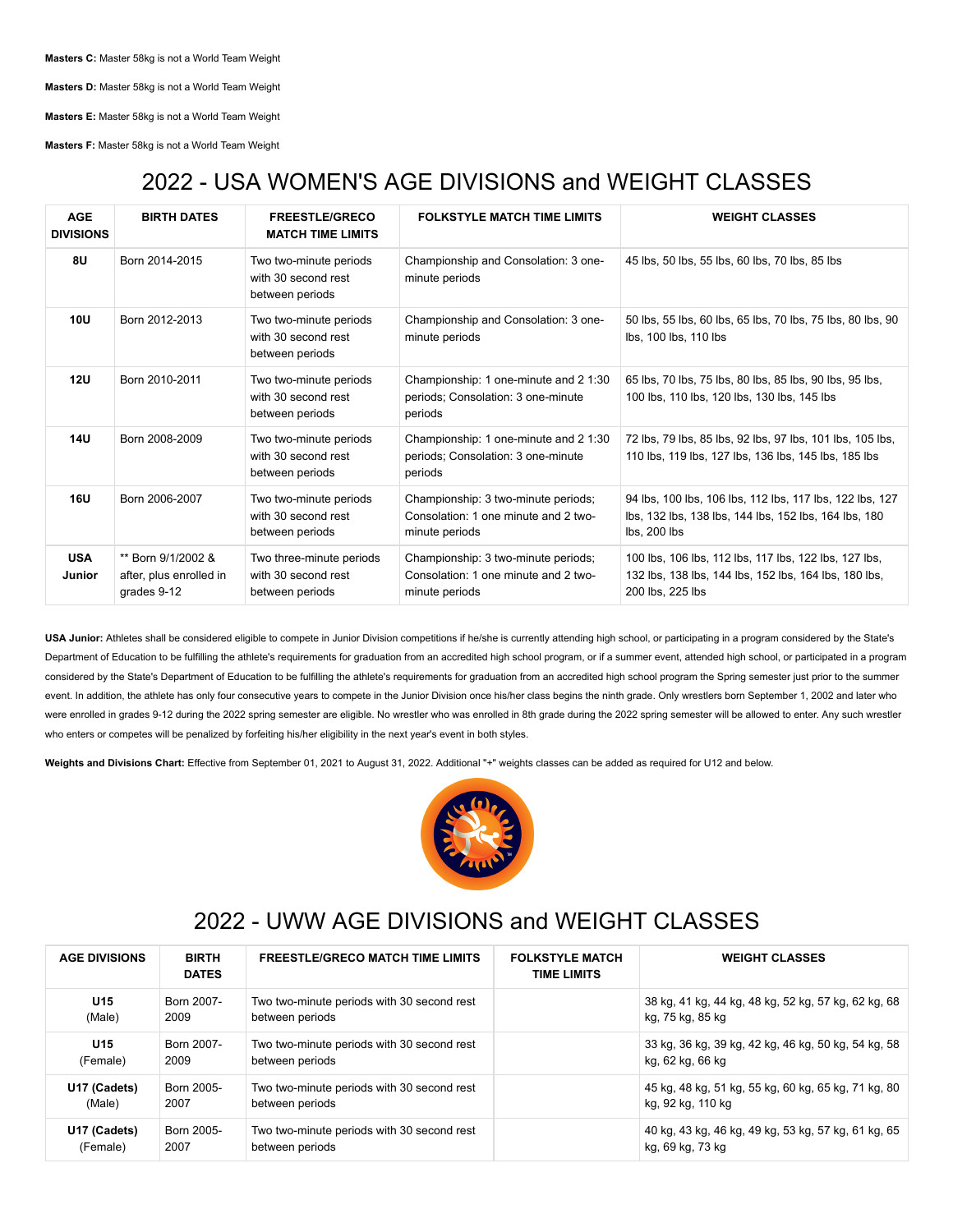**Masters C:** Master 58kg is not a World Team Weight

**Masters D:** Master 58kg is not a World Team Weight

**Masters E:** Master 58kg is not a World Team Weight

**Masters F:** Master 58kg is not a World Team Weight

## 2022 - USA WOMEN'S AGE DIVISIONS and WEIGHT CLASSES

| <b>AGE</b><br><b>DIVISIONS</b> | <b>BIRTH DATES</b>                                           | <b>FREESTLE/GRECO</b><br><b>MATCH TIME LIMITS</b>                  | <b>FOLKSTYLE MATCH TIME LIMITS</b>                                                            | <b>WEIGHT CLASSES</b>                                                                                                              |
|--------------------------------|--------------------------------------------------------------|--------------------------------------------------------------------|-----------------------------------------------------------------------------------------------|------------------------------------------------------------------------------------------------------------------------------------|
| 8U                             | Born 2014-2015                                               | Two two-minute periods<br>with 30 second rest<br>between periods   | Championship and Consolation: 3 one-<br>minute periods                                        | 45 lbs, 50 lbs, 55 lbs, 60 lbs, 70 lbs, 85 lbs                                                                                     |
| 10U                            | Born 2012-2013                                               | Two two-minute periods<br>with 30 second rest<br>between periods   | Championship and Consolation: 3 one-<br>minute periods                                        | 50 lbs, 55 lbs, 60 lbs, 65 lbs, 70 lbs, 75 lbs, 80 lbs, 90<br>lbs, 100 lbs, 110 lbs                                                |
| 12U                            | Born 2010-2011                                               | Two two-minute periods<br>with 30 second rest<br>between periods   | Championship: 1 one-minute and 2 1:30<br>periods; Consolation: 3 one-minute<br>periods        | 65 lbs, 70 lbs, 75 lbs, 80 lbs, 85 lbs, 90 lbs, 95 lbs,<br>100 lbs, 110 lbs, 120 lbs, 130 lbs, 145 lbs                             |
| <b>14U</b>                     | Born 2008-2009                                               | Two two-minute periods<br>with 30 second rest<br>between periods   | Championship: 1 one-minute and 2 1:30<br>periods: Consolation: 3 one-minute<br>periods        | 72 lbs, 79 lbs, 85 lbs, 92 lbs, 97 lbs, 101 lbs, 105 lbs,<br>110 lbs. 119 lbs. 127 lbs. 136 lbs. 145 lbs. 185 lbs                  |
| <b>16U</b>                     | Born 2006-2007                                               | Two two-minute periods<br>with 30 second rest<br>between periods   | Championship: 3 two-minute periods;<br>Consolation: 1 one minute and 2 two-<br>minute periods | 94 lbs, 100 lbs, 106 lbs, 112 lbs, 117 lbs, 122 lbs, 127<br>lbs, 132 lbs, 138 lbs, 144 lbs, 152 lbs, 164 lbs, 180<br>lbs, 200 lbs  |
| <b>USA</b><br><b>Junior</b>    | ** Born 9/1/2002 &<br>after, plus enrolled in<br>grades 9-12 | Two three-minute periods<br>with 30 second rest<br>between periods | Championship: 3 two-minute periods;<br>Consolation: 1 one minute and 2 two-<br>minute periods | 100 lbs, 106 lbs, 112 lbs, 117 lbs, 122 lbs, 127 lbs,<br>132 lbs, 138 lbs, 144 lbs, 152 lbs, 164 lbs, 180 lbs,<br>200 lbs, 225 lbs |

**USA Junior:** Athletes shall be considered eligible to compete in Junior Division competitions if he/she is currently attending high school, or participating in a program considered by the State's Department of Education to be fulfilling the athlete's requirements for graduation from an accredited high school program, or if a summer event, attended high school, or participated in a program considered by the State's Department of Education to be fulfilling the athlete's requirements for graduation from an accredited high school program the Spring semester just prior to the summer event. In addition, the athlete has only four consecutive years to compete in the Junior Division once his/her class begins the ninth grade. Only wrestlers born September 1, 2002 and later who were enrolled in grades 9-12 during the 2022 spring semester are eligible. No wrestler who was enrolled in 8th grade during the 2022 spring semester will be allowed to enter. Any such wrestler who enters or competes will be penalized by forfeiting his/her eligibility in the next year's event in both styles.

**Weights and Divisions Chart:** Effective from September 01, 2021 to August 31, 2022. Additional "+" weights classes can be added as required for U12 and below.



## 2022 - UWW AGE DIVISIONS and WEIGHT CLASSES

| <b>AGE DIVISIONS</b> | <b>BIRTH</b><br><b>DATES</b> | <b>FREESTLE/GRECO MATCH TIME LIMITS</b>    | <b>FOLKSTYLE MATCH</b><br><b>TIME LIMITS</b> | <b>WEIGHT CLASSES</b>                               |
|----------------------|------------------------------|--------------------------------------------|----------------------------------------------|-----------------------------------------------------|
| U <sub>15</sub>      | Born 2007-                   | Two two-minute periods with 30 second rest |                                              | 38 kg, 41 kg, 44 kg, 48 kg, 52 kg, 57 kg, 62 kg, 68 |
| (Male)               | 2009                         | between periods                            |                                              | kg, 75 kg, 85 kg                                    |
| U <sub>15</sub>      | Born 2007-                   | Two two-minute periods with 30 second rest |                                              | 33 kg, 36 kg, 39 kg, 42 kg, 46 kg, 50 kg, 54 kg, 58 |
| (Female)             | 2009                         | between periods                            |                                              | kg, 62 kg, 66 kg                                    |
| U17 (Cadets)         | Born 2005-                   | Two two-minute periods with 30 second rest |                                              | 45 kg, 48 kg, 51 kg, 55 kg, 60 kg, 65 kg, 71 kg, 80 |
| (Male)               | 2007                         | between periods                            |                                              | kg, 92 kg, 110 kg                                   |
| U17 (Cadets)         | Born 2005-                   | Two two-minute periods with 30 second rest |                                              | 40 kg, 43 kg, 46 kg, 49 kg, 53 kg, 57 kg, 61 kg, 65 |
| (Female)             | 2007                         | between periods                            |                                              | kg, 69 kg, 73 kg                                    |